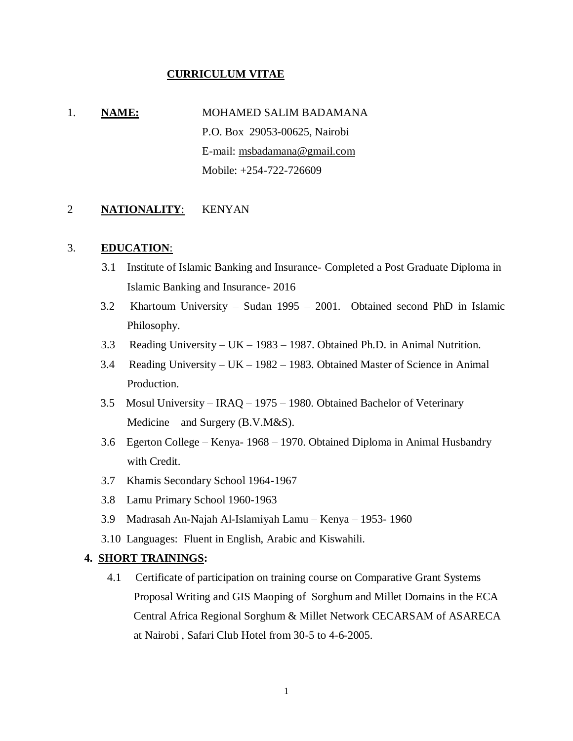#### **CURRICULUM VITAE**

# 1. **NAME:** MOHAMED SALIM BADAMANA P.O. Box 29053-00625, Nairobi E-mail: msbadamana@gmail.com Mobile: +254-722-726609

#### 2 **NATIONALITY**: KENYAN

### 3. **EDUCATION**:

- 3.1 Institute of Islamic Banking and Insurance- Completed a Post Graduate Diploma in Islamic Banking and Insurance- 2016
- 3.2 Khartoum University Sudan 1995 2001. Obtained second PhD in Islamic Philosophy.
- 3.3 Reading University UK 1983 1987. Obtained Ph.D. in Animal Nutrition.
- 3.4 Reading University UK 1982 1983. Obtained Master of Science in Animal Production.
- 3.5 Mosul University IRAQ 1975 1980. Obtained Bachelor of Veterinary Medicine and Surgery (B.V.M&S).
- 3.6 Egerton College Kenya- 1968 1970. Obtained Diploma in Animal Husbandry with Credit.
- 3.7 Khamis Secondary School 1964-1967
- 3.8 Lamu Primary School 1960-1963
- 3.9 Madrasah An-Najah Al-Islamiyah Lamu Kenya 1953- 1960
- 3.10 Languages: Fluent in English, Arabic and Kiswahili.

#### **4. SHORT TRAININGS:**

4.1 Certificate of participation on training course on Comparative Grant Systems Proposal Writing and GIS Maoping of Sorghum and Millet Domains in the ECA Central Africa Regional Sorghum & Millet Network CECARSAM of ASARECA at Nairobi , Safari Club Hotel from 30-5 to 4-6-2005.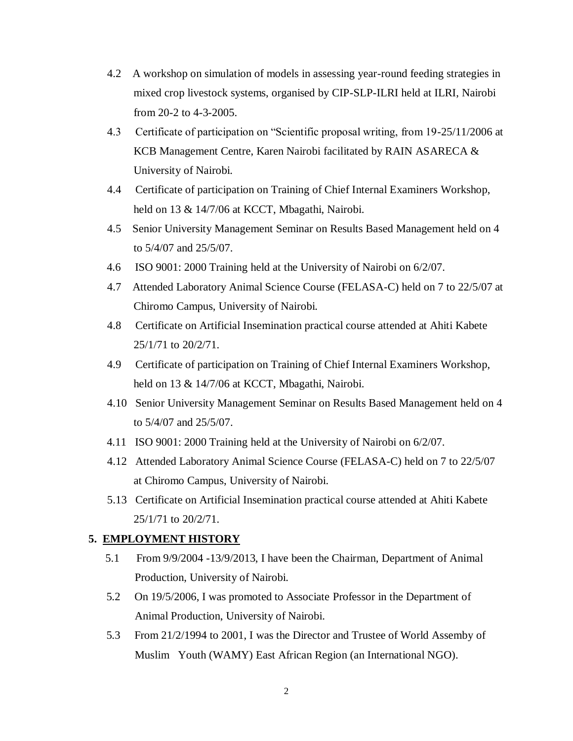- 4.2 A workshop on simulation of models in assessing year-round feeding strategies in mixed crop livestock systems, organised by CIP-SLP-ILRI held at ILRI, Nairobi from 20-2 to 4-3-2005.
- 4.3 Certificate of participation on "Scientific proposal writing, from 19-25/11/2006 at KCB Management Centre, Karen Nairobi facilitated by RAIN ASARECA & University of Nairobi.
- 4.4 Certificate of participation on Training of Chief Internal Examiners Workshop, held on 13 & 14/7/06 at KCCT, Mbagathi, Nairobi.
- 4.5 Senior University Management Seminar on Results Based Management held on 4 to 5/4/07 and 25/5/07.
- 4.6 ISO 9001: 2000 Training held at the University of Nairobi on 6/2/07.
- 4.7 Attended Laboratory Animal Science Course (FELASA-C) held on 7 to 22/5/07 at Chiromo Campus, University of Nairobi.
- 4.8 Certificate on Artificial Insemination practical course attended at Ahiti Kabete 25/1/71 to 20/2/71.
- 4.9 Certificate of participation on Training of Chief Internal Examiners Workshop, held on 13 & 14/7/06 at KCCT, Mbagathi, Nairobi.
- 4.10 Senior University Management Seminar on Results Based Management held on 4 to 5/4/07 and 25/5/07.
- 4.11 ISO 9001: 2000 Training held at the University of Nairobi on 6/2/07.
- 4.12 Attended Laboratory Animal Science Course (FELASA-C) held on 7 to 22/5/07 at Chiromo Campus, University of Nairobi.
- 5.13 Certificate on Artificial Insemination practical course attended at Ahiti Kabete 25/1/71 to 20/2/71.

# **5. EMPLOYMENT HISTORY**

- 5.1 From 9/9/2004 -13/9/2013, I have been the Chairman, Department of Animal Production, University of Nairobi.
- 5.2 On 19/5/2006, I was promoted to Associate Professor in the Department of Animal Production, University of Nairobi.
- 5.3 From 21/2/1994 to 2001, I was the Director and Trustee of World Assemby of Muslim Youth (WAMY) East African Region (an International NGO).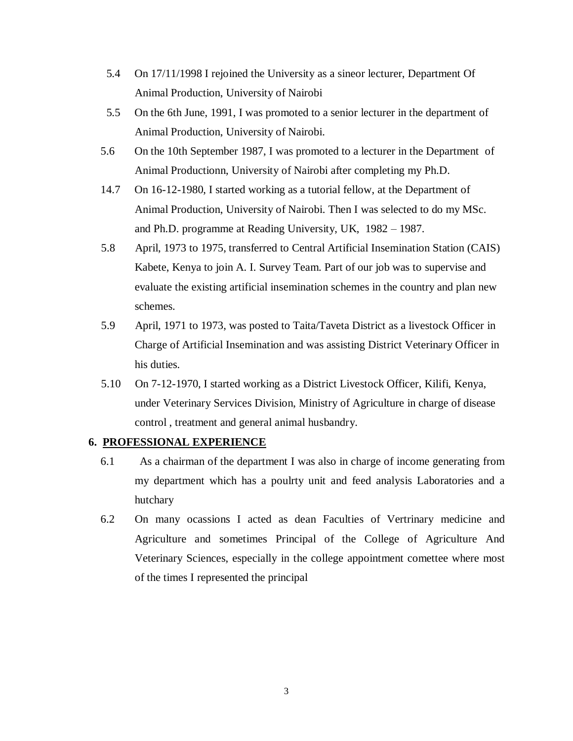- 5.4 On 17/11/1998 I rejoined the University as a sineor lecturer, Department Of Animal Production, University of Nairobi
- 5.5 On the 6th June, 1991, I was promoted to a senior lecturer in the department of Animal Production, University of Nairobi.
- 5.6 On the 10th September 1987, I was promoted to a lecturer in the Department of Animal Productionn, University of Nairobi after completing my Ph.D.
- 14.7 On 16-12-1980, I started working as a tutorial fellow, at the Department of Animal Production, University of Nairobi. Then I was selected to do my MSc. and Ph.D. programme at Reading University, UK, 1982 – 1987.
- 5.8 April, 1973 to 1975, transferred to Central Artificial Insemination Station (CAIS) Kabete, Kenya to join A. I. Survey Team. Part of our job was to supervise and evaluate the existing artificial insemination schemes in the country and plan new schemes.
- 5.9 April, 1971 to 1973, was posted to Taita/Taveta District as a livestock Officer in Charge of Artificial Insemination and was assisting District Veterinary Officer in his duties.
- 5.10 On 7-12-1970, I started working as a District Livestock Officer, Kilifi, Kenya, under Veterinary Services Division, Ministry of Agriculture in charge of disease control , treatment and general animal husbandry.

#### **6. PROFESSIONAL EXPERIENCE**

- 6.1 As a chairman of the department I was also in charge of income generating from my department which has a poulrty unit and feed analysis Laboratories and a hutchary
- 6.2 On many ocassions I acted as dean Faculties of Vertrinary medicine and Agriculture and sometimes Principal of the College of Agriculture And Veterinary Sciences, especially in the college appointment comettee where most of the times I represented the principal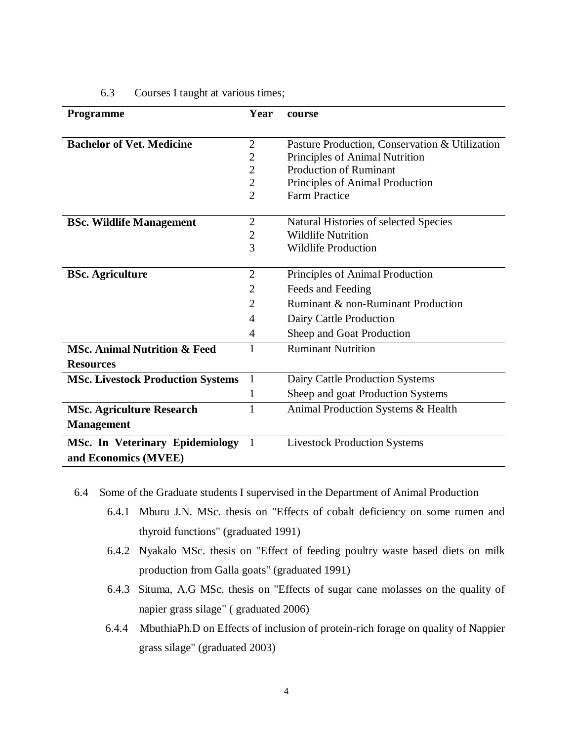| <b>Programme</b>                         | Year           | course                                         |
|------------------------------------------|----------------|------------------------------------------------|
|                                          |                |                                                |
| <b>Bachelor of Vet. Medicine</b>         | $\mathfrak{2}$ | Pasture Production, Conservation & Utilization |
|                                          | $\overline{2}$ | Principles of Animal Nutrition                 |
|                                          | $\overline{2}$ | <b>Production of Ruminant</b>                  |
|                                          | $\overline{2}$ | Principles of Animal Production                |
|                                          | $\overline{2}$ | <b>Farm Practice</b>                           |
|                                          |                |                                                |
| <b>BSc. Wildlife Management</b>          | $\mathfrak{2}$ | Natural Histories of selected Species          |
|                                          | $\overline{2}$ | <b>Wildlife Nutrition</b>                      |
|                                          | 3              | <b>Wildlife Production</b>                     |
| <b>BSc. Agriculture</b>                  | $\overline{2}$ | Principles of Animal Production                |
|                                          |                |                                                |
|                                          | $\overline{2}$ | Feeds and Feeding                              |
|                                          | $\overline{2}$ | Ruminant & non-Ruminant Production             |
|                                          | 4              | Dairy Cattle Production                        |
|                                          | 4              | Sheep and Goat Production                      |
| <b>MSc. Animal Nutrition &amp; Feed</b>  | 1              | <b>Ruminant Nutrition</b>                      |
| <b>Resources</b>                         |                |                                                |
| <b>MSc. Livestock Production Systems</b> | $\mathbf{1}$   | Dairy Cattle Production Systems                |
|                                          | 1              | Sheep and goat Production Systems              |
| <b>MSc. Agriculture Research</b>         | $\mathbf{1}$   | Animal Production Systems & Health             |
| <b>Management</b>                        |                |                                                |
| <b>MSc. In Veterinary Epidemiology</b>   | 1              | <b>Livestock Production Systems</b>            |
| and Economics (MVEE)                     |                |                                                |

# 6.3 Courses I taught at various times;

- 6.4 Some of the Graduate students I supervised in the Department of Animal Production
	- 6.4.1 Mburu J.N. MSc. thesis on "Effects of cobalt deficiency on some rumen and thyroid functions" (graduated 1991)
	- 6.4.2 Nyakalo MSc. thesis on "Effect of feeding poultry waste based diets on milk production from Galla goats" (graduated 1991)
	- 6.4.3 Situma, A.G MSc. thesis on "Effects of sugar cane molasses on the quality of napier grass silage" ( graduated 2006)
	- 6.4.4 MbuthiaPh.D on Effects of inclusion of protein-rich forage on quality of Nappier grass silage" (graduated 2003)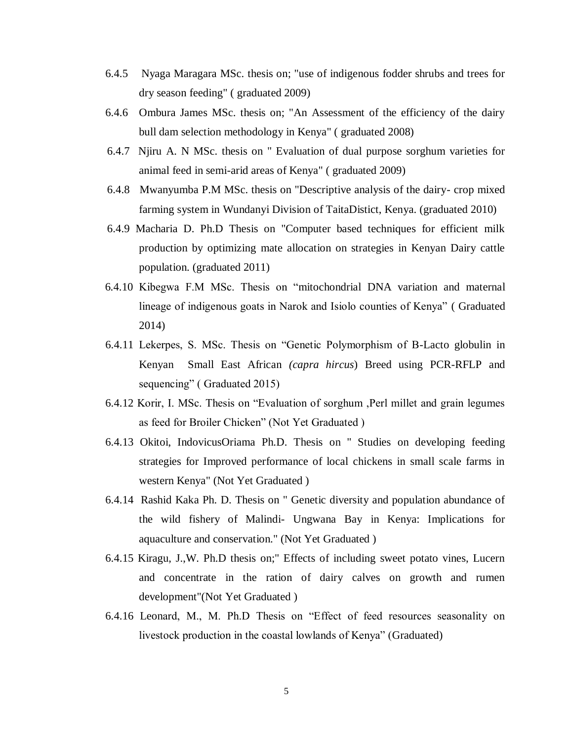- 6.4.5 Nyaga Maragara MSc. thesis on; "use of indigenous fodder shrubs and trees for dry season feeding" ( graduated 2009)
- 6.4.6 Ombura James MSc. thesis on; "An Assessment of the efficiency of the dairy bull dam selection methodology in Kenya" ( graduated 2008)
- 6.4.7 Njiru A. N MSc. thesis on " Evaluation of dual purpose sorghum varieties for animal feed in semi-arid areas of Kenya" ( graduated 2009)
- 6.4.8 Mwanyumba P.M MSc. thesis on "Descriptive analysis of the dairy- crop mixed farming system in Wundanyi Division of TaitaDistict, Kenya. (graduated 2010)
- 6.4.9 Macharia D. Ph.D Thesis on "Computer based techniques for efficient milk production by optimizing mate allocation on strategies in Kenyan Dairy cattle population. (graduated 2011)
- 6.4.10 Kibegwa F.M MSc. Thesis on "mitochondrial DNA variation and maternal lineage of indigenous goats in Narok and Isiolo counties of Kenya" ( Graduated 2014)
- 6.4.11 Lekerpes, S. MSc. Thesis on "Genetic Polymorphism of B-Lacto globulin in Kenyan Small East African *(capra hircus*) Breed using PCR-RFLP and sequencing" (Graduated 2015)
- 6.4.12 Korir, I. MSc. Thesis on "Evaluation of sorghum ,Perl millet and grain legumes as feed for Broiler Chicken" (Not Yet Graduated )
- 6.4.13 Okitoi, IndovicusOriama Ph.D. Thesis on " Studies on developing feeding strategies for Improved performance of local chickens in small scale farms in western Kenya" (Not Yet Graduated )
- 6.4.14 Rashid Kaka Ph. D. Thesis on " Genetic diversity and population abundance of the wild fishery of Malindi- Ungwana Bay in Kenya: Implications for aquaculture and conservation." (Not Yet Graduated )
- 6.4.15 Kiragu, J.,W. Ph.D thesis on;" Effects of including sweet potato vines, Lucern and concentrate in the ration of dairy calves on growth and rumen development"(Not Yet Graduated )
- 6.4.16 Leonard, M., M. Ph.D Thesis on "Effect of feed resources seasonality on livestock production in the coastal lowlands of Kenya" (Graduated)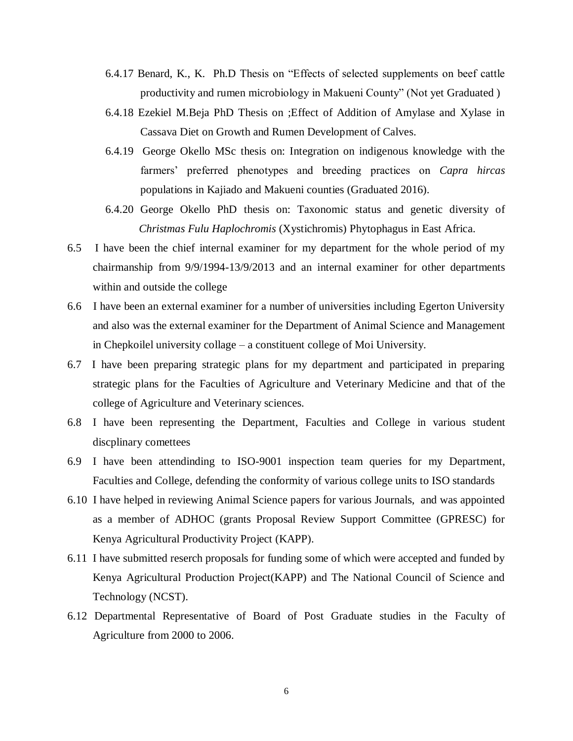- 6.4.17 Benard, K., K. Ph.D Thesis on "Effects of selected supplements on beef cattle productivity and rumen microbiology in Makueni County" (Not yet Graduated )
- 6.4.18 Ezekiel M.Beja PhD Thesis on ;Effect of Addition of Amylase and Xylase in Cassava Diet on Growth and Rumen Development of Calves.
- 6.4.19 George Okello MSc thesis on: Integration on indigenous knowledge with the farmers' preferred phenotypes and breeding practices on *Capra hircas* populations in Kajiado and Makueni counties (Graduated 2016).
- 6.4.20 George Okello PhD thesis on: Taxonomic status and genetic diversity of *Christmas Fulu Haplochromis* (Xystichromis) Phytophagus in East Africa.
- 6.5 I have been the chief internal examiner for my department for the whole period of my chairmanship from 9/9/1994-13/9/2013 and an internal examiner for other departments within and outside the college
- 6.6 I have been an external examiner for a number of universities including Egerton University and also was the external examiner for the Department of Animal Science and Management in Chepkoilel university collage – a constituent college of Moi University.
- 6.7 I have been preparing strategic plans for my department and participated in preparing strategic plans for the Faculties of Agriculture and Veterinary Medicine and that of the college of Agriculture and Veterinary sciences.
- 6.8 I have been representing the Department, Faculties and College in various student discplinary comettees
- 6.9 I have been attendinding to ISO-9001 inspection team queries for my Department, Faculties and College, defending the conformity of various college units to ISO standards
- 6.10 I have helped in reviewing Animal Science papers for various Journals, and was appointed as a member of ADHOC (grants Proposal Review Support Committee (GPRESC) for Kenya Agricultural Productivity Project (KAPP).
- 6.11 I have submitted reserch proposals for funding some of which were accepted and funded by Kenya Agricultural Production Project(KAPP) and The National Council of Science and Technology (NCST).
- 6.12 Departmental Representative of Board of Post Graduate studies in the Faculty of Agriculture from 2000 to 2006.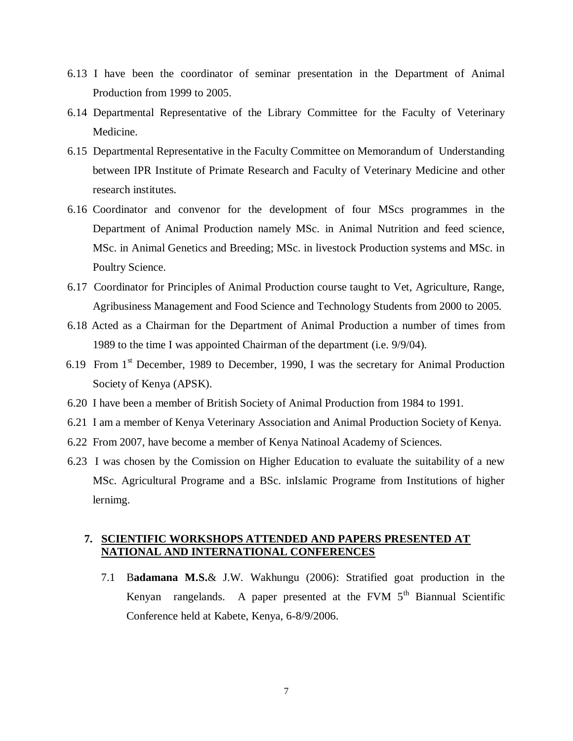- 6.13 I have been the coordinator of seminar presentation in the Department of Animal Production from 1999 to 2005.
- 6.14 Departmental Representative of the Library Committee for the Faculty of Veterinary Medicine.
- 6.15 Departmental Representative in the Faculty Committee on Memorandum of Understanding between IPR Institute of Primate Research and Faculty of Veterinary Medicine and other research institutes.
- 6.16 Coordinator and convenor for the development of four MScs programmes in the Department of Animal Production namely MSc. in Animal Nutrition and feed science, MSc. in Animal Genetics and Breeding; MSc. in livestock Production systems and MSc. in Poultry Science.
- 6.17 Coordinator for Principles of Animal Production course taught to Vet, Agriculture, Range, Agribusiness Management and Food Science and Technology Students from 2000 to 2005.
- 6.18 Acted as a Chairman for the Department of Animal Production a number of times from 1989 to the time I was appointed Chairman of the department (i.e. 9/9/04).
- 6.19 From  $1<sup>st</sup>$  December, 1989 to December, 1990, I was the secretary for Animal Production Society of Kenya (APSK).
- 6.20 I have been a member of British Society of Animal Production from 1984 to 1991.
- 6.21 I am a member of Kenya Veterinary Association and Animal Production Society of Kenya.
- 6.22 From 2007, have become a member of Kenya Natinoal Academy of Sciences.
- 6.23 I was chosen by the Comission on Higher Education to evaluate the suitability of a new MSc. Agricultural Programe and a BSc. inIslamic Programe from Institutions of higher lernimg.

# **7. SCIENTIFIC WORKSHOPS ATTENDED AND PAPERS PRESENTED AT NATIONAL AND INTERNATIONAL CONFERENCES**

7.1 B**adamana M.S.**& J.W. Wakhungu (2006): Stratified goat production in the Kenyan rangelands. A paper presented at the FVM  $5<sup>th</sup>$  Biannual Scientific Conference held at Kabete, Kenya, 6-8/9/2006.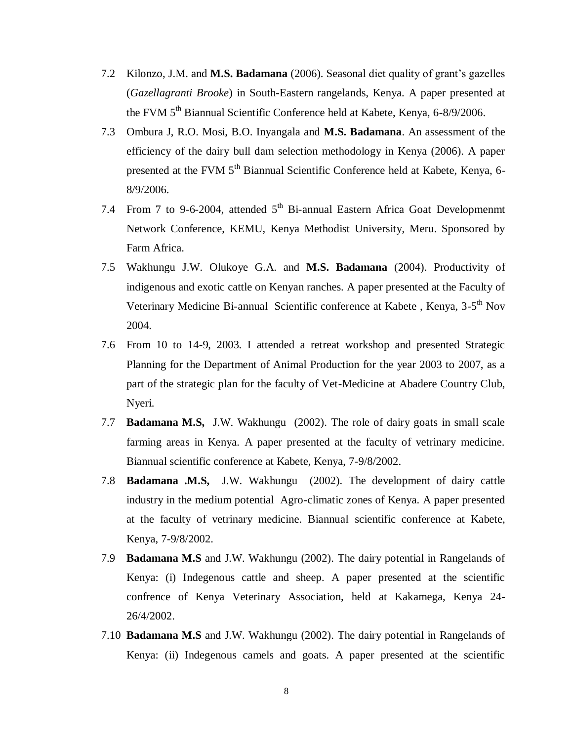- 7.2 Kilonzo, J.M. and **M.S. Badamana** (2006). Seasonal diet quality of grant's gazelles (*Gazellagranti Brooke*) in South-Eastern rangelands, Kenya. A paper presented at the FVM 5<sup>th</sup> Biannual Scientific Conference held at Kabete, Kenya, 6-8/9/2006.
- 7.3 Ombura J, R.O. Mosi, B.O. Inyangala and **M.S. Badamana**. An assessment of the efficiency of the dairy bull dam selection methodology in Kenya (2006). A paper presented at the FVM 5<sup>th</sup> Biannual Scientific Conference held at Kabete, Kenya, 6-8/9/2006.
- 7.4 From 7 to 9-6-2004, attended  $5<sup>th</sup>$  Bi-annual Eastern Africa Goat Developmenmt Network Conference, KEMU, Kenya Methodist University, Meru. Sponsored by Farm Africa.
- 7.5 Wakhungu J.W. Olukoye G.A. and **M.S. Badamana** (2004). Productivity of indigenous and exotic cattle on Kenyan ranches. A paper presented at the Faculty of Veterinary Medicine Bi-annual Scientific conference at Kabete, Kenya, 3-5<sup>th</sup> Nov 2004.
- 7.6 From 10 to 14-9, 2003. I attended a retreat workshop and presented Strategic Planning for the Department of Animal Production for the year 2003 to 2007, as a part of the strategic plan for the faculty of Vet-Medicine at Abadere Country Club, Nyeri.
- 7.7 **Badamana M.S,** J.W. Wakhungu (2002). The role of dairy goats in small scale farming areas in Kenya. A paper presented at the faculty of vetrinary medicine. Biannual scientific conference at Kabete, Kenya, 7-9/8/2002.
- 7.8 **Badamana .M.S,** J.W. Wakhungu (2002). The development of dairy cattle industry in the medium potential Agro-climatic zones of Kenya. A paper presented at the faculty of vetrinary medicine. Biannual scientific conference at Kabete, Kenya, 7-9/8/2002.
- 7.9 **Badamana M.S** and J.W. Wakhungu (2002). The dairy potential in Rangelands of Kenya: (i) Indegenous cattle and sheep. A paper presented at the scientific confrence of Kenya Veterinary Association, held at Kakamega, Kenya 24- 26/4/2002.
- 7.10 **Badamana M.S** and J.W. Wakhungu (2002). The dairy potential in Rangelands of Kenya: (ii) Indegenous camels and goats. A paper presented at the scientific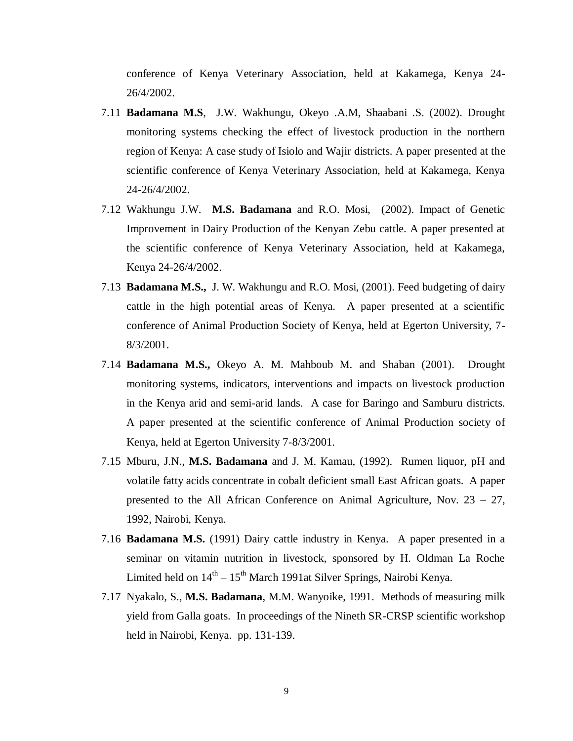conference of Kenya Veterinary Association, held at Kakamega, Kenya 24- 26/4/2002.

- 7.11 **Badamana M.S**, J.W. Wakhungu, Okeyo .A.M, Shaabani .S. (2002). Drought monitoring systems checking the effect of livestock production in the northern region of Kenya: A case study of Isiolo and Wajir districts. A paper presented at the scientific conference of Kenya Veterinary Association, held at Kakamega, Kenya 24-26/4/2002.
- 7.12 Wakhungu J.W. **M.S. Badamana** and R.O. Mosi, (2002). Impact of Genetic Improvement in Dairy Production of the Kenyan Zebu cattle. A paper presented at the scientific conference of Kenya Veterinary Association, held at Kakamega, Kenya 24-26/4/2002.
- 7.13 **Badamana M.S.,** J. W. Wakhungu and R.O. Mosi, (2001). Feed budgeting of dairy cattle in the high potential areas of Kenya. A paper presented at a scientific conference of Animal Production Society of Kenya, held at Egerton University, 7- 8/3/2001.
- 7.14 **Badamana M.S.,** Okeyo A. M. Mahboub M. and Shaban (2001). Drought monitoring systems, indicators, interventions and impacts on livestock production in the Kenya arid and semi-arid lands. A case for Baringo and Samburu districts. A paper presented at the scientific conference of Animal Production society of Kenya, held at Egerton University 7-8/3/2001.
- 7.15 Mburu, J.N., **M.S. Badamana** and J. M. Kamau, (1992). Rumen liquor, pH and volatile fatty acids concentrate in cobalt deficient small East African goats. A paper presented to the All African Conference on Animal Agriculture, Nov. 23 – 27, 1992, Nairobi, Kenya.
- 7.16 **Badamana M.S.** (1991) Dairy cattle industry in Kenya. A paper presented in a seminar on vitamin nutrition in livestock, sponsored by H. Oldman La Roche Limited held on  $14<sup>th</sup> - 15<sup>th</sup>$  March 1991at Silver Springs, Nairobi Kenya.
- 7.17 Nyakalo, S., **M.S. Badamana**, M.M. Wanyoike, 1991. Methods of measuring milk yield from Galla goats. In proceedings of the Nineth SR-CRSP scientific workshop held in Nairobi, Kenya. pp. 131-139.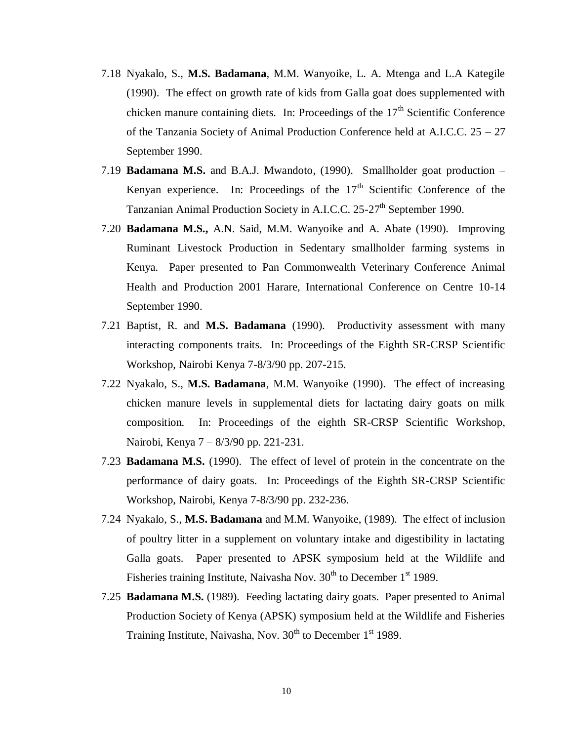- 7.18 Nyakalo, S., **M.S. Badamana**, M.M. Wanyoike, L. A. Mtenga and L.A Kategile (1990). The effect on growth rate of kids from Galla goat does supplemented with chicken manure containing diets. In: Proceedings of the  $17<sup>th</sup>$  Scientific Conference of the Tanzania Society of Animal Production Conference held at A.I.C.C. 25 – 27 September 1990.
- 7.19 **Badamana M.S.** and B.A.J. Mwandoto, (1990). Smallholder goat production Kenyan experience. In: Proceedings of the  $17<sup>th</sup>$  Scientific Conference of the Tanzanian Animal Production Society in A.I.C.C. 25-27<sup>th</sup> September 1990.
- 7.20 **Badamana M.S.,** A.N. Said, M.M. Wanyoike and A. Abate (1990). Improving Ruminant Livestock Production in Sedentary smallholder farming systems in Kenya. Paper presented to Pan Commonwealth Veterinary Conference Animal Health and Production 2001 Harare, International Conference on Centre 10-14 September 1990.
- 7.21 Baptist, R. and **M.S. Badamana** (1990). Productivity assessment with many interacting components traits. In: Proceedings of the Eighth SR-CRSP Scientific Workshop, Nairobi Kenya 7-8/3/90 pp. 207-215.
- 7.22 Nyakalo, S., **M.S. Badamana**, M.M. Wanyoike (1990). The effect of increasing chicken manure levels in supplemental diets for lactating dairy goats on milk composition. In: Proceedings of the eighth SR-CRSP Scientific Workshop, Nairobi, Kenya 7 – 8/3/90 pp. 221-231.
- 7.23 **Badamana M.S.** (1990). The effect of level of protein in the concentrate on the performance of dairy goats. In: Proceedings of the Eighth SR-CRSP Scientific Workshop, Nairobi, Kenya 7-8/3/90 pp. 232-236.
- 7.24 Nyakalo, S., **M.S. Badamana** and M.M. Wanyoike, (1989). The effect of inclusion of poultry litter in a supplement on voluntary intake and digestibility in lactating Galla goats. Paper presented to APSK symposium held at the Wildlife and Fisheries training Institute, Naivasha Nov.  $30<sup>th</sup>$  to December 1<sup>st</sup> 1989.
- 7.25 **Badamana M.S.** (1989). Feeding lactating dairy goats. Paper presented to Animal Production Society of Kenya (APSK) symposium held at the Wildlife and Fisheries Training Institute, Naivasha, Nov.  $30<sup>th</sup>$  to December 1<sup>st</sup> 1989.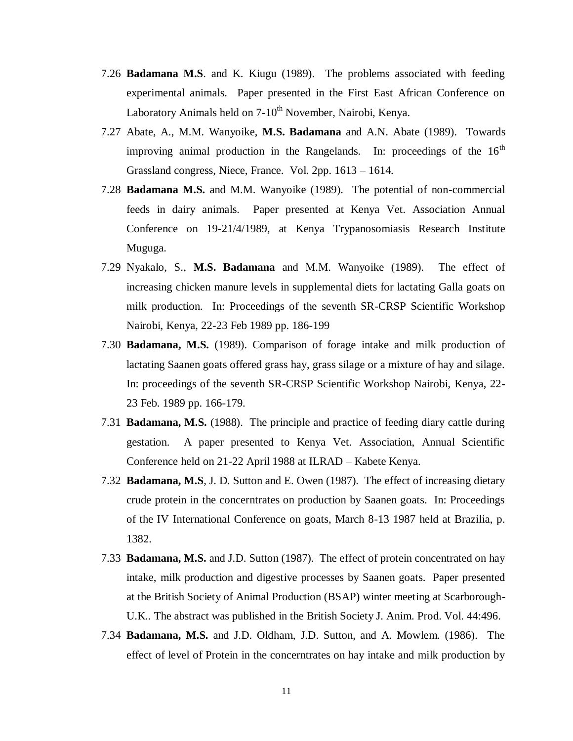- 7.26 **Badamana M.S**. and K. Kiugu (1989). The problems associated with feeding experimental animals. Paper presented in the First East African Conference on Laboratory Animals held on 7-10<sup>th</sup> November, Nairobi, Kenya.
- 7.27 Abate, A., M.M. Wanyoike, **M.S. Badamana** and A.N. Abate (1989). Towards improving animal production in the Rangelands. In: proceedings of the  $16<sup>th</sup>$ Grassland congress, Niece, France. Vol. 2pp. 1613 – 1614.
- 7.28 **Badamana M.S.** and M.M. Wanyoike (1989). The potential of non-commercial feeds in dairy animals. Paper presented at Kenya Vet. Association Annual Conference on 19-21/4/1989, at Kenya Trypanosomiasis Research Institute Muguga.
- 7.29 Nyakalo, S., **M.S. Badamana** and M.M. Wanyoike (1989). The effect of increasing chicken manure levels in supplemental diets for lactating Galla goats on milk production. In: Proceedings of the seventh SR-CRSP Scientific Workshop Nairobi, Kenya, 22-23 Feb 1989 pp. 186-199
- 7.30 **Badamana, M.S.** (1989). Comparison of forage intake and milk production of lactating Saanen goats offered grass hay, grass silage or a mixture of hay and silage. In: proceedings of the seventh SR-CRSP Scientific Workshop Nairobi, Kenya, 22- 23 Feb. 1989 pp. 166-179.
- 7.31 **Badamana, M.S.** (1988). The principle and practice of feeding diary cattle during gestation. A paper presented to Kenya Vet. Association, Annual Scientific Conference held on 21-22 April 1988 at ILRAD – Kabete Kenya.
- 7.32 **Badamana, M.S**, J. D. Sutton and E. Owen (1987). The effect of increasing dietary crude protein in the concerntrates on production by Saanen goats. In: Proceedings of the IV International Conference on goats, March 8-13 1987 held at Brazilia, p. 1382.
- 7.33 **Badamana, M.S.** and J.D. Sutton (1987). The effect of protein concentrated on hay intake, milk production and digestive processes by Saanen goats. Paper presented at the British Society of Animal Production (BSAP) winter meeting at Scarborough-U.K.. The abstract was published in the British Society J. Anim. Prod. Vol. 44:496.
- 7.34 **Badamana, M.S.** and J.D. Oldham, J.D. Sutton, and A. Mowlem. (1986). The effect of level of Protein in the concerntrates on hay intake and milk production by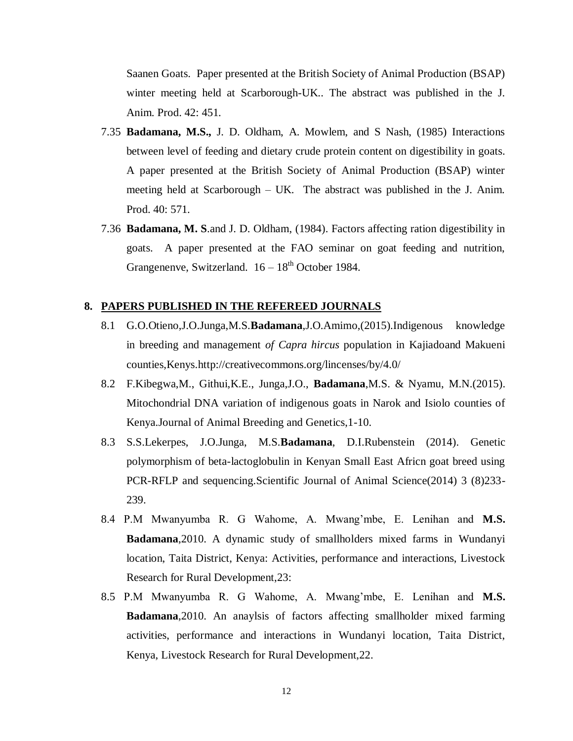Saanen Goats. Paper presented at the British Society of Animal Production (BSAP) winter meeting held at Scarborough-UK.. The abstract was published in the J. Anim. Prod. 42: 451.

- 7.35 **Badamana, M.S.,** J. D. Oldham, A. Mowlem, and S Nash, (1985) Interactions between level of feeding and dietary crude protein content on digestibility in goats. A paper presented at the British Society of Animal Production (BSAP) winter meeting held at Scarborough – UK. The abstract was published in the J. Anim. Prod. 40: 571.
- 7.36 **Badamana, M. S**.and J. D. Oldham, (1984). Factors affecting ration digestibility in goats. A paper presented at the FAO seminar on goat feeding and nutrition, Grangenenve, Switzerland.  $16 - 18^{th}$  October 1984.

#### **8. PAPERS PUBLISHED IN THE REFEREED JOURNALS**

- 8.1 G.O.Otieno,J.O.Junga,M.S.**Badamana**,J.O.Amimo,(2015).Indigenous knowledge in breeding and management *of Capra hircus* population in Kajiadoand Makueni counties,Kenys.http://creativecommons.org/lincenses/by/4.0/
- 8.2 F.Kibegwa,M., Githui,K.E., Junga,J.O., **Badamana**,M.S. & Nyamu, M.N.(2015). Mitochondrial DNA variation of indigenous goats in Narok and Isiolo counties of Kenya.Journal of Animal Breeding and Genetics,1-10.
- 8.3 S.S.Lekerpes, J.O.Junga, M.S.**Badamana**, D.I.Rubenstein (2014). Genetic polymorphism of beta-lactoglobulin in Kenyan Small East Africn goat breed using PCR-RFLP and sequencing.Scientific Journal of Animal Science(2014) 3 (8)233- 239.
- 8.4 P.M Mwanyumba R. G Wahome, A. Mwang'mbe, E. Lenihan and **M.S. Badamana**,2010. A dynamic study of smallholders mixed farms in Wundanyi location, Taita District, Kenya: Activities, performance and interactions, Livestock Research for Rural Development,23:
- 8.5 P.M Mwanyumba R. G Wahome, A. Mwang'mbe, E. Lenihan and **M.S. Badamana**,2010. An anaylsis of factors affecting smallholder mixed farming activities, performance and interactions in Wundanyi location, Taita District, Kenya, Livestock Research for Rural Development,22.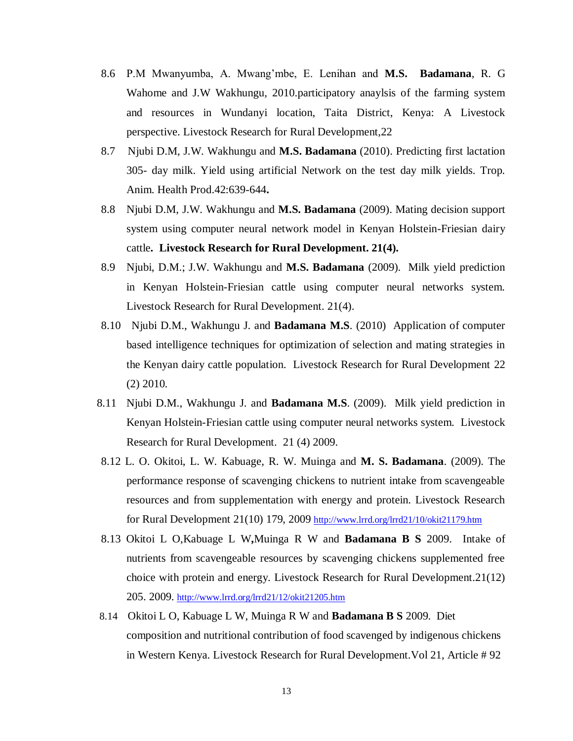- 8.6 P.M Mwanyumba, A. Mwang'mbe, E. Lenihan and **M.S. Badamana**, R. G Wahome and J.W Wakhungu, 2010.participatory anaylsis of the farming system and resources in Wundanyi location, Taita District, Kenya: A Livestock perspective. Livestock Research for Rural Development,22
- 8.7 Njubi D.M, J.W. Wakhungu and **M.S. Badamana** (2010). Predicting first lactation 305- day milk. Yield using artificial Network on the test day milk yields. Trop. Anim. Health Prod.42:639-644**.**
- 8.8 Njubi D.M, J.W. Wakhungu and **M.S. Badamana** (2009). Mating decision support system using computer neural network model in Kenyan Holstein-Friesian dairy cattle**. Livestock Research for Rural Development. 21(4).**
- 8.9 Njubi, D.M.; J.W. Wakhungu and **M.S. Badamana** (2009). Milk yield prediction in Kenyan Holstein-Friesian cattle using computer neural networks system. Livestock Research for Rural Development. 21(4).
- 8.10 Njubi D.M., Wakhungu J. and **Badamana M.S**. (2010) Application of computer based intelligence techniques for optimization of selection and mating strategies in the Kenyan dairy cattle population. Livestock Research for Rural Development 22 (2) 2010.
- 8.11 Njubi D.M., Wakhungu J. and **Badamana M.S**. (2009). Milk yield prediction in Kenyan Holstein-Friesian cattle using computer neural networks system. Livestock Research for Rural Development. 21 (4) 2009.
- 8.12 L. O. Okitoi, L. W. Kabuage, R. W. Muinga and **M. S. Badamana**. (2009). The performance response of scavenging chickens to nutrient intake from scavengeable resources and from supplementation with energy and protein. Livestock Research for Rural Development 21(10) 179, 2009 <http://www.lrrd.org/lrrd21/10/okit21179.htm>
- 8.13 Okitoi L O,Kabuage L W**,**Muinga R W and **Badamana B S** 2009. Intake of nutrients from scavengeable resources by scavenging chickens supplemented free choice with protein and energy. Livestock Research for Rural Development.21(12) 205. 2009. <http://www.lrrd.org/lrrd21/12/okit21205.htm>
- 8.14 Okitoi L O, Kabuage L W, Muinga R W and **Badamana B S** 2009. Diet composition and nutritional contribution of food scavenged by indigenous chickens in Western Kenya. Livestock Research for Rural Development.Vol 21, Article # 92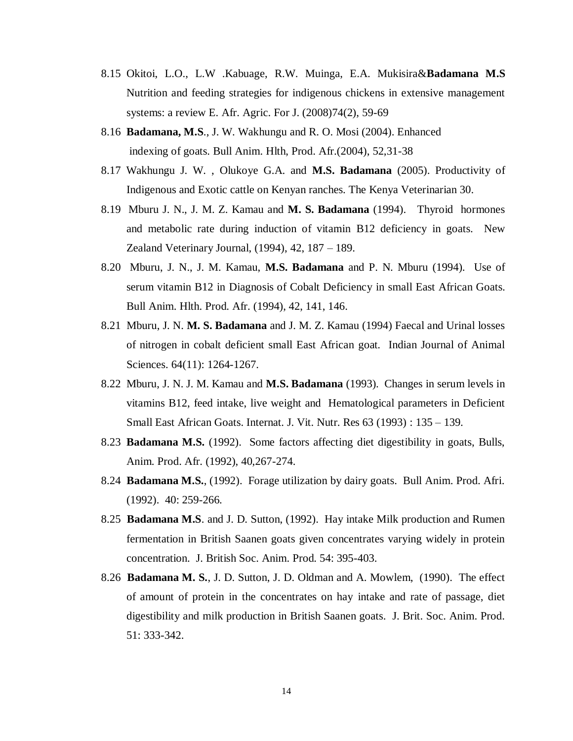- 8.15 Okitoi, L.O., L.W .Kabuage, R.W. Muinga, E.A. Mukisira&**Badamana M.S** Nutrition and feeding strategies for indigenous chickens in extensive management systems: a review E. Afr. Agric. For J. (2008)74(2), 59-69
- 8.16 **Badamana, M.S**., J. W. Wakhungu and R. O. Mosi (2004). Enhanced indexing of goats. Bull Anim. Hlth, Prod. Afr.(2004), 52,31-38
- 8.17 Wakhungu J. W. , Olukoye G.A. and **M.S. Badamana** (2005). Productivity of Indigenous and Exotic cattle on Kenyan ranches. The Kenya Veterinarian 30.
- 8.19Mburu J. N., J. M. Z. Kamau and **M. S. Badamana** (1994). Thyroid hormones and metabolic rate during induction of vitamin B12 deficiency in goats. New Zealand Veterinary Journal, (1994), 42, 187 – 189.
- 8.20 Mburu, J. N., J. M. Kamau, **M.S. Badamana** and P. N. Mburu (1994). Use of serum vitamin B12 in Diagnosis of Cobalt Deficiency in small East African Goats. Bull Anim. Hlth. Prod. Afr. (1994), 42, 141, 146.
- 8.21 Mburu, J. N. **M. S. Badamana** and J. M. Z. Kamau (1994) Faecal and Urinal losses of nitrogen in cobalt deficient small East African goat. Indian Journal of Animal Sciences. 64(11): 1264-1267.
- 8.22 Mburu, J. N. J. M. Kamau and **M.S. Badamana** (1993). Changes in serum levels in vitamins B12, feed intake, live weight and Hematological parameters in Deficient Small East African Goats. Internat. J. Vit. Nutr. Res 63 (1993) : 135 – 139.
- 8.23 **Badamana M.S.** (1992). Some factors affecting diet digestibility in goats, Bulls, Anim. Prod. Afr. (1992), 40,267-274.
- 8.24 **Badamana M.S.**, (1992). Forage utilization by dairy goats. Bull Anim. Prod. Afri. (1992). 40: 259-266.
- 8.25 **Badamana M.S**. and J. D. Sutton, (1992). Hay intake Milk production and Rumen fermentation in British Saanen goats given concentrates varying widely in protein concentration. J. British Soc. Anim. Prod. 54: 395-403.
- 8.26 **Badamana M. S.**, J. D. Sutton, J. D. Oldman and A. Mowlem, (1990). The effect of amount of protein in the concentrates on hay intake and rate of passage, diet digestibility and milk production in British Saanen goats. J. Brit. Soc. Anim. Prod. 51: 333-342.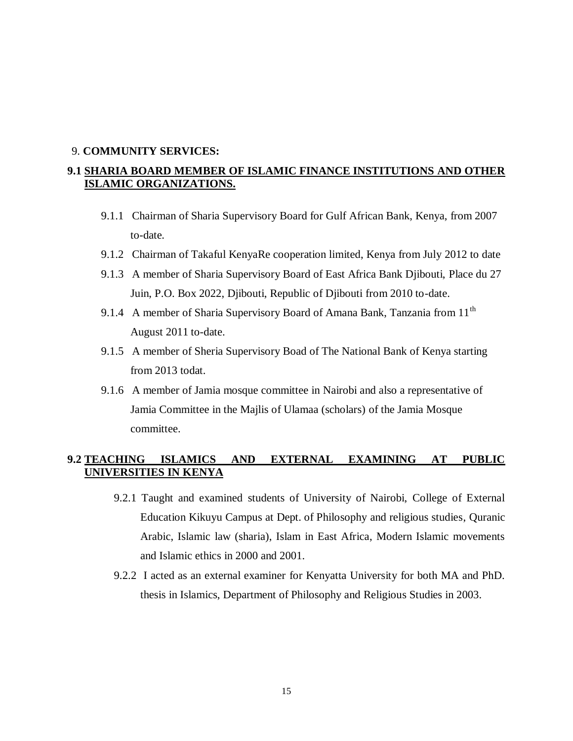#### 9. **COMMUNITY SERVICES:**

# **9.1 SHARIA BOARD MEMBER OF ISLAMIC FINANCE INSTITUTIONS AND OTHER ISLAMIC ORGANIZATIONS.**

- 9.1.1 Chairman of Sharia Supervisory Board for Gulf African Bank, Kenya, from 2007 to-date.
- 9.1.2 Chairman of Takaful KenyaRe cooperation limited, Kenya from July 2012 to date
- 9.1.3 A member of Sharia Supervisory Board of East Africa Bank Djibouti, Place du 27 Juin, P.O. Box 2022, Djibouti, Republic of Djibouti from 2010 to-date.
- 9.1.4 A member of Sharia Supervisory Board of Amana Bank, Tanzania from 11<sup>th</sup> August 2011 to-date.
- 9.1.5 A member of Sheria Supervisory Boad of The National Bank of Kenya starting from 2013 todat.
- 9.1.6 A member of Jamia mosque committee in Nairobi and also a representative of Jamia Committee in the Majlis of Ulamaa (scholars) of the Jamia Mosque committee.

### **9.2 TEACHING ISLAMICS AND EXTERNAL EXAMINING AT PUBLIC UNIVERSITIES IN KENYA**

- 9.2.1 Taught and examined students of University of Nairobi, College of External Education Kikuyu Campus at Dept. of Philosophy and religious studies, Quranic Arabic, Islamic law (sharia), Islam in East Africa, Modern Islamic movements and Islamic ethics in 2000 and 2001.
- 9.2.2 I acted as an external examiner for Kenyatta University for both MA and PhD. thesis in Islamics, Department of Philosophy and Religious Studies in 2003.